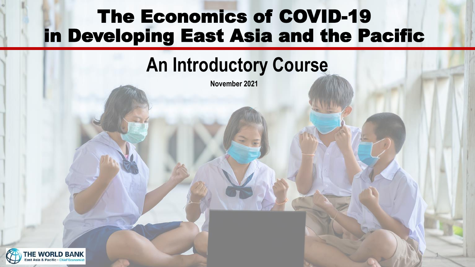#### The Economics of COVID-19 in Developing East Asia and the Pacific

#### **An Introductory Course**

1

**November 2021**

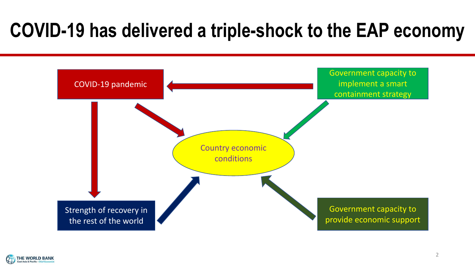## **COVID-19 has delivered a triple-shock to the EAP economy**



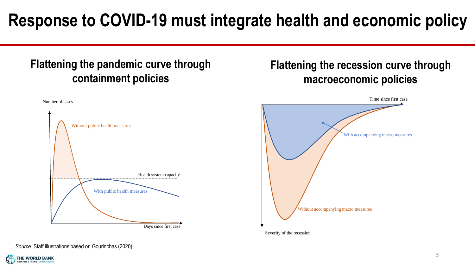#### **Response to COVID-19 must integrate health and economic policy**

#### **Flattening the pandemic curve through containment policies**



#### **Flattening the recession curve through macroeconomic policies**



Severity of the recession

*Source:* Staff illustrations based on Gourinchas (2020)

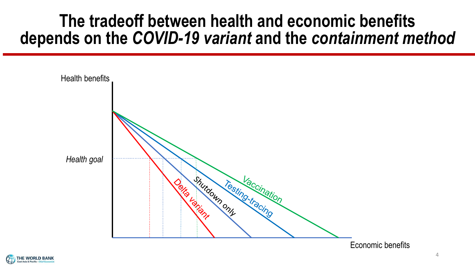#### **The tradeoff between health and economic benefits depends on the** *COVID-19 variant* **and the** *containment method*



Economic benefits

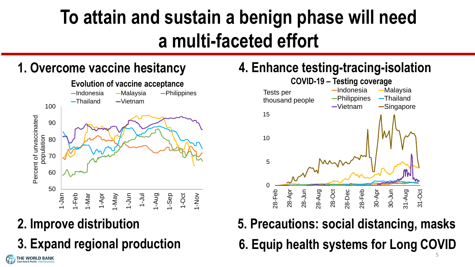# **To attain and sustain a benign phase will need a multi-faceted effort**





#### **2. Improve distribution**

THE WORLD BANK

**3. Expand regional production**

#### **1. Overcome vaccine hesitancy 4. Enhance testing-tracing-isolation**



**6. Equip health systems for Long COVID 5. Precautions: social distancing, masks** 5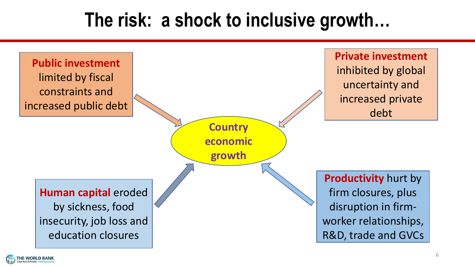## **The risk: a shock to inclusive growth…**



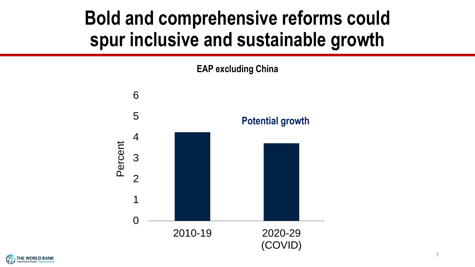## **Bold and comprehensive reforms could spur inclusive and sustainable growth**





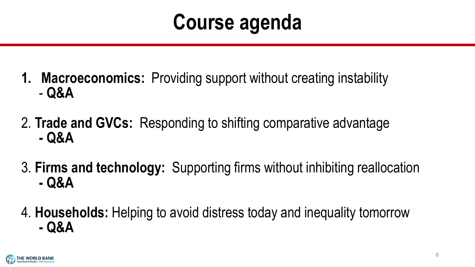# **Course agenda**

- **1. Macroeconomics:** Providing support without creating instability - **Q&A**
- 2. **Trade and GVCs:** Responding to shifting comparative advantage **- Q&A**
- 3. **Firms and technology:** Supporting firms without inhibiting reallocation **- Q&A**
- 4. **Households:** Helping to avoid distress today and inequality tomorrow **- Q&A**

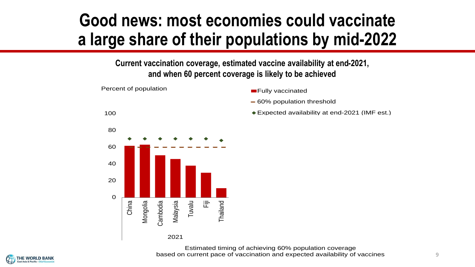#### **Good news: most economies could vaccinate a large share of their populations by mid-2022**

**Current vaccination coverage, estimated vaccine availability at end-2021, and when 60 percent coverage is likely to be achieved**



Estimated timing of achieving 60% population coverage based on current pace of vaccination and expected availability of vaccines

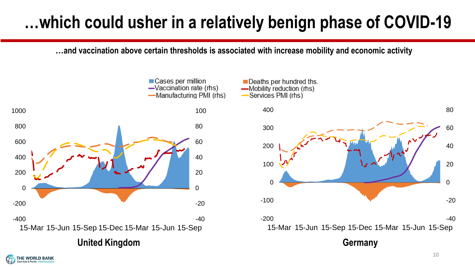#### **…which could usher in a relatively benign phase of COVID-19**

**…and vaccination above certain thresholds is associated with increase mobility and economic activity** 





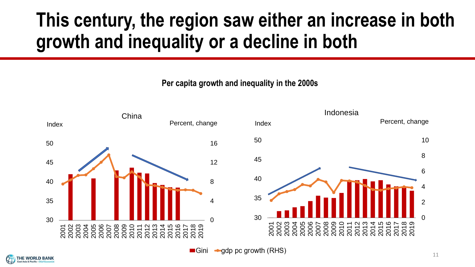## **This century, the region saw either an increase in both growth and inequality or a decline in both**

**Per capita growth and inequality in the 2000s**



 $\blacksquare$ Gini −gdp pc growth (RHS)

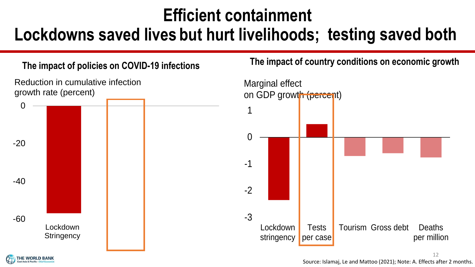#### **Efficient containment**

#### **Lockdowns saved lives but hurt livelihoods; testing saved both**



**The impact of country conditions on economic growth The impact of policies on COVID-19 infections**

![](_page_11_Figure_5.jpeg)

![](_page_11_Picture_6.jpeg)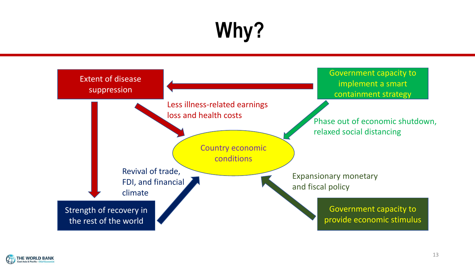# **Why?**

![](_page_12_Figure_1.jpeg)

![](_page_12_Picture_2.jpeg)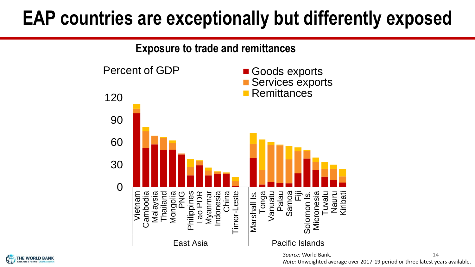## **EAP countries are exceptionally but differently exposed**

![](_page_13_Figure_1.jpeg)

*Source:* World Bank. *Note:* Unweighted average over 2017-19 period or three latest years available. 14

![](_page_13_Picture_3.jpeg)